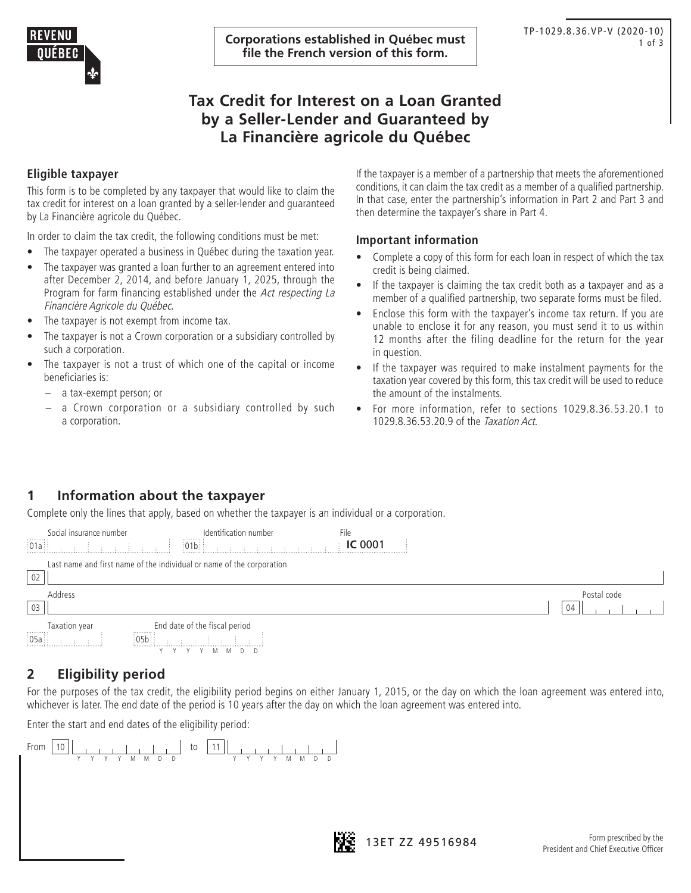**Corporations established in Québec must file the French version of this form.**

# **Tax Credit for Interest on a Loan Granted by a Seller-Lender and Guaranteed by La Financière agricole du Québec**

#### **Eligible taxpayer**

This form is to be completed by any taxpayer that would like to claim the tax credit for interest on a loan granted by a seller-lender and guaranteed by La Financière agricole du Québec.

In order to claim the tax credit, the following conditions must be met:

- The taxpayer operated a business in Québec during the taxation year.
- The taxpayer was granted a loan further to an agreement entered into after December 2, 2014, and before January 1, 2025, through the Program for farm financing established under the Act respecting La Financière Agricole du Québec.
- The taxpayer is not exempt from income tax.
- The taxpayer is not a Crown corporation or a subsidiary controlled by such a corporation.
- The taxpayer is not a trust of which one of the capital or income beneficiaries is:
	- a tax-exempt person; or
	- − a Crown corporation or a subsidiary controlled by such a corporation.

If the taxpayer is a member of a partnership that meets the aforementioned conditions, it can claim the tax credit as a member of a qualified partnership. In that case, enter the partnership's information in Part 2 and Part 3 and then determine the taxpayer's share in Part 4.

#### **Important information**

- Complete a copy of this form for each loan in respect of which the tax credit is being claimed.
- If the taxpayer is claiming the tax credit both as a taxpayer and as a member of a qualified partnership, two separate forms must be filed.
- Enclose this form with the taxpayer's income tax return. If you are unable to enclose it for any reason, you must send it to us within 12 months after the filing deadline for the return for the year in question.
- If the taxpayer was required to make instalment payments for the taxation year covered by this form, this tax credit will be used to reduce the amount of the instalments.
- For more information, refer to sections 1029.8.36.53.20.1 to 1029.8.36.53.20.9 of the Taxation Act.

## **1 Information about the taxpayer**

Complete only the lines that apply, based on whether the taxpayer is an individual or a corporation.

| Social insurance number<br>$\overline{01a}$ | Identification number<br>$\frac{1}{2}$ 01b                                    | ·ıle<br><b>IC 0001</b> |                   |
|---------------------------------------------|-------------------------------------------------------------------------------|------------------------|-------------------|
|                                             | Last name and first name of the individual or name of the corporation         |                        |                   |
| Address<br>03                               |                                                                               |                        | Postal code<br>04 |
| Taxation year<br>05a<br>.                   | End date of the fiscal period<br> 05 <sub>b</sub>   <br>********** * ***<br>Ð |                        |                   |

## **2 Eligibility period**

For the purposes of the tax credit, the eligibility period begins on either January 1, 2015, or the day on which the loan agreement was entered into, whichever is later. The end date of the period is 10 years after the day on which the loan agreement was entered into.

Enter the start and end dates of the eligibility period:

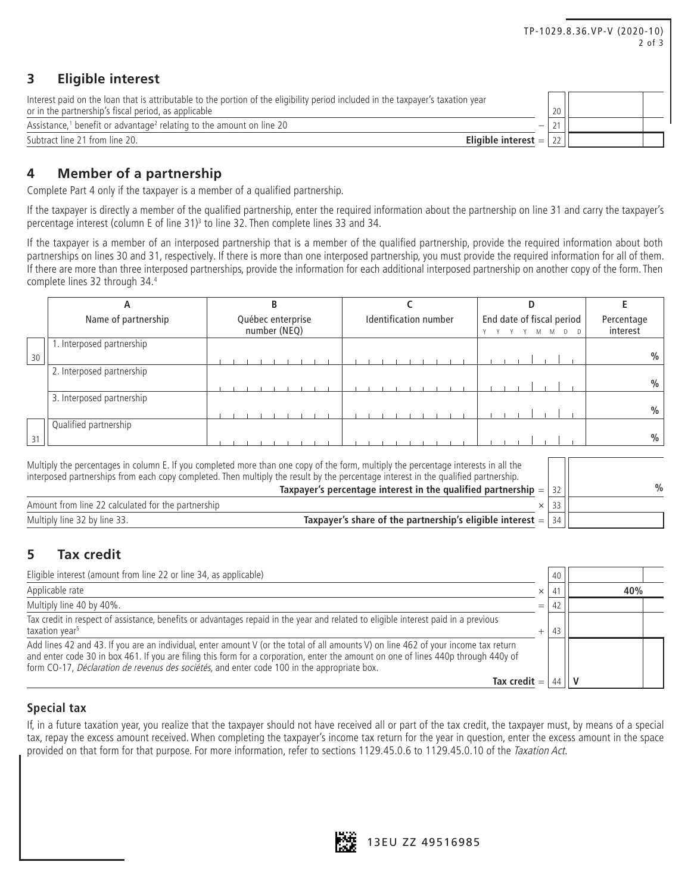|                                                                                                                                                                                          | TP-1029.8.36.VP-V (2020-10)<br>$2$ of $3$ |
|------------------------------------------------------------------------------------------------------------------------------------------------------------------------------------------|-------------------------------------------|
| <b>Eligible interest</b><br>3                                                                                                                                                            |                                           |
| Interest paid on the loan that is attributable to the portion of the eligibility period included in the taxpayer's taxation year<br>or in the partnership's fiscal period, as applicable | 20                                        |
| Assistance, <sup>1</sup> benefit or advantage <sup>2</sup> relating to the amount on line 20<br>—                                                                                        | 21                                        |
| Subtract line 21 from line 20.<br>Eligible interest $=$                                                                                                                                  | 22                                        |

### **4 Member of a partnership**

Complete Part 4 only if the taxpayer is a member of a qualified partnership.

If the taxpayer is directly a member of the qualified partnership, enter the required information about the partnership on line 31 and carry the taxpayer's percentage interest (column E of line 31)<sup>3</sup> to line 32. Then complete lines 33 and 34.

If the taxpayer is a member of an interposed partnership that is a member of the qualified partnership, provide the required information about both partnerships on lines 30 and 31, respectively. If there is more than one interposed partnership, you must provide the required information for all of them. If there are more than three interposed partnerships, provide the information for each additional interposed partnership on another copy of the form. Then complete lines 32 through 34.4

|    | Name of partnership       | Québec enterprise<br>number (NEQ) |  |  |  |  |  |  |  | Identification number |  |  | End date of fiscal period<br>M<br>$D$ $D$ |  |  | Percentage<br>interest |  |  |  |  |      |
|----|---------------------------|-----------------------------------|--|--|--|--|--|--|--|-----------------------|--|--|-------------------------------------------|--|--|------------------------|--|--|--|--|------|
| 30 | 1. Interposed partnership |                                   |  |  |  |  |  |  |  |                       |  |  |                                           |  |  |                        |  |  |  |  | %    |
|    | 2. Interposed partnership |                                   |  |  |  |  |  |  |  |                       |  |  |                                           |  |  |                        |  |  |  |  | %    |
|    | 3. Interposed partnership |                                   |  |  |  |  |  |  |  |                       |  |  |                                           |  |  |                        |  |  |  |  | $\%$ |
| 31 | Qualified partnership     |                                   |  |  |  |  |  |  |  |                       |  |  |                                           |  |  |                        |  |  |  |  | $\%$ |

| Multiply the percentages in column E. If you completed more than one copy of the form, multiply the percentage interests in all the<br>interposed partnerships from each copy completed. Then multiply the result by the percentage interest in the qualified partnership. |               |
|----------------------------------------------------------------------------------------------------------------------------------------------------------------------------------------------------------------------------------------------------------------------------|---------------|
| Taxpayer's percentage interest in the qualified partnership $=  32 $                                                                                                                                                                                                       | $\frac{0}{0}$ |
| Amount from line 22 calculated for the partnership                                                                                                                                                                                                                         |               |
| Taxpayer's share of the partnership's eligible interest = $ 34 $<br>Multiply line 32 by line 33.                                                                                                                                                                           |               |

## **5 Tax credit**

| Eligible interest (amount from line 22 or line 34, as applicable)                                                                                                                                                                                                                                                                                                        |          | 40 |     |
|--------------------------------------------------------------------------------------------------------------------------------------------------------------------------------------------------------------------------------------------------------------------------------------------------------------------------------------------------------------------------|----------|----|-----|
| Applicable rate                                                                                                                                                                                                                                                                                                                                                          | $\times$ |    | 40% |
| Multiply line 40 by 40%.                                                                                                                                                                                                                                                                                                                                                 | $=$      | 42 |     |
| Tax credit in respect of assistance, benefits or advantages repaid in the year and related to eligible interest paid in a previous<br>taxation year <sup>5</sup>                                                                                                                                                                                                         |          | 43 |     |
| Add lines 42 and 43. If you are an individual, enter amount V (or the total of all amounts V) on line 462 of your income tax return<br>and enter code 30 in box 461. If you are filing this form for a corporation, enter the amount on one of lines 440p through 440y of<br>form CO-17, Déclaration de revenus des sociétés, and enter code 100 in the appropriate box. |          |    |     |
| Tax credit $=$                                                                                                                                                                                                                                                                                                                                                           |          |    |     |

### **Special tax**

If, in a future taxation year, you realize that the taxpayer should not have received all or part of the tax credit, the taxpayer must, by means of a special tax, repay the excess amount received. When completing the taxpayer's income tax return for the year in question, enter the excess amount in the space provided on that form for that purpose. For more information, refer to sections 1129.45.0.6 to 1129.45.0.10 of the Taxation Act.